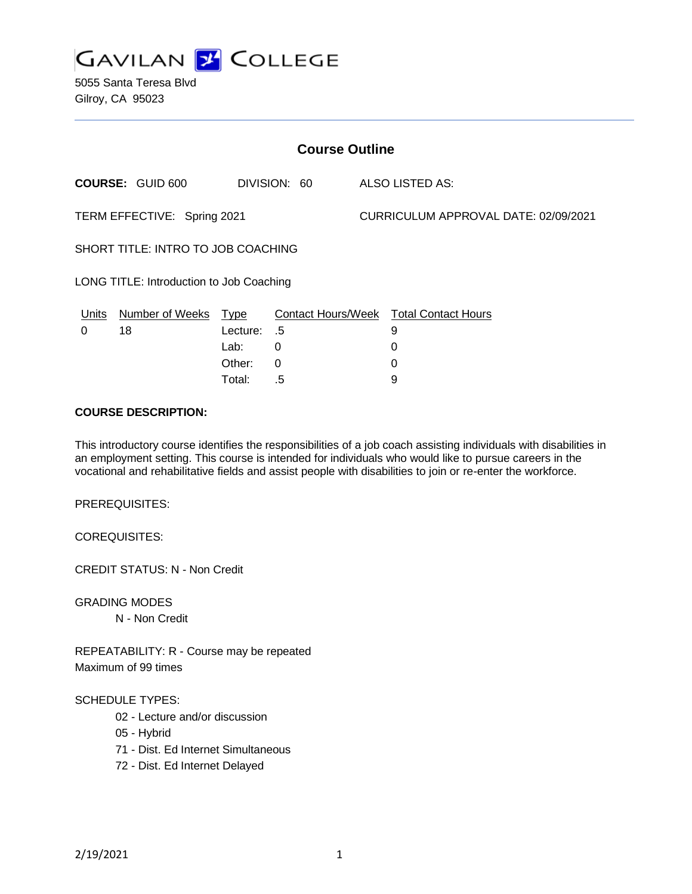

5055 Santa Teresa Blvd Gilroy, CA 95023

| <b>Course Outline</b>                    |                         |          |              |  |                                               |  |
|------------------------------------------|-------------------------|----------|--------------|--|-----------------------------------------------|--|
|                                          | <b>COURSE: GUID 600</b> |          | DIVISION: 60 |  | ALSO LISTED AS:                               |  |
| TERM EFFECTIVE: Spring 2021              |                         |          |              |  | CURRICULUM APPROVAL DATE: 02/09/2021          |  |
| SHORT TITLE: INTRO TO JOB COACHING       |                         |          |              |  |                                               |  |
| LONG TITLE: Introduction to Job Coaching |                         |          |              |  |                                               |  |
| Units                                    | Number of Weeks Type    |          |              |  | <b>Contact Hours/Week Total Contact Hours</b> |  |
| 0                                        | 18                      | Lecture: | - .5         |  | 9                                             |  |
|                                          |                         | Lab:     | 0            |  | 0                                             |  |
|                                          |                         | Other:   | 0            |  | 0                                             |  |

#### **COURSE DESCRIPTION:**

This introductory course identifies the responsibilities of a job coach assisting individuals with disabilities in an employment setting. This course is intended for individuals who would like to pursue careers in the vocational and rehabilitative fields and assist people with disabilities to join or re-enter the workforce.

Total: .5 9

PREREQUISITES:

COREQUISITES:

CREDIT STATUS: N - Non Credit

GRADING MODES

N - Non Credit

REPEATABILITY: R - Course may be repeated Maximum of 99 times

#### SCHEDULE TYPES:

- 02 Lecture and/or discussion
- 05 Hybrid
- 71 Dist. Ed Internet Simultaneous
- 72 Dist. Ed Internet Delayed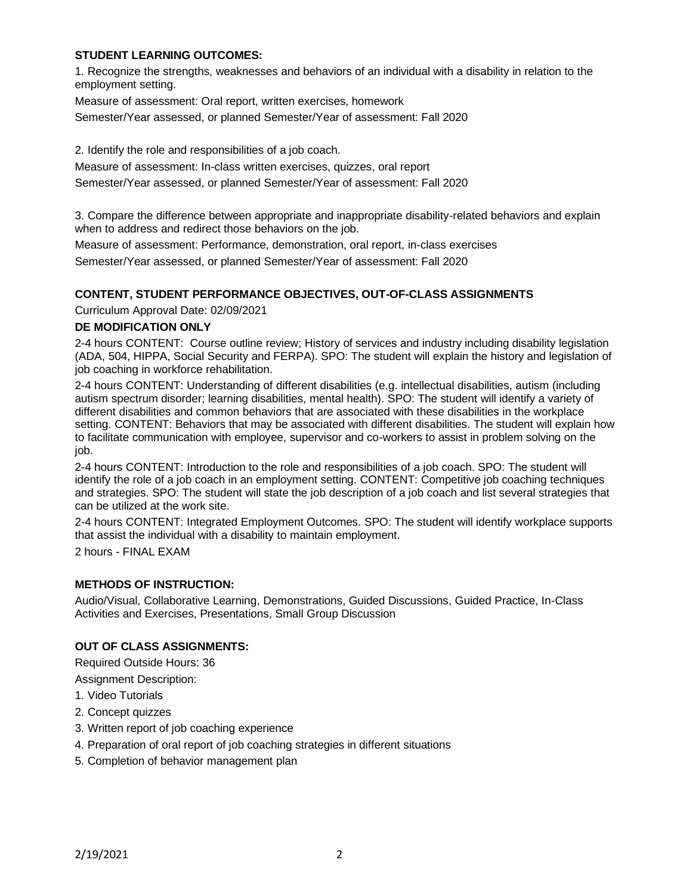### **STUDENT LEARNING OUTCOMES:**

1. Recognize the strengths, weaknesses and behaviors of an individual with a disability in relation to the employment setting.

Measure of assessment: Oral report, written exercises, homework

Semester/Year assessed, or planned Semester/Year of assessment: Fall 2020

2. Identify the role and responsibilities of a job coach.

Measure of assessment: In-class written exercises, quizzes, oral report

Semester/Year assessed, or planned Semester/Year of assessment: Fall 2020

3. Compare the difference between appropriate and inappropriate disability-related behaviors and explain when to address and redirect those behaviors on the job.

Measure of assessment: Performance, demonstration, oral report, in-class exercises Semester/Year assessed, or planned Semester/Year of assessment: Fall 2020

# **CONTENT, STUDENT PERFORMANCE OBJECTIVES, OUT-OF-CLASS ASSIGNMENTS**

Curriculum Approval Date: 02/09/2021

#### **DE MODIFICATION ONLY**

2-4 hours CONTENT: Course outline review; History of services and industry including disability legislation (ADA, 504, HIPPA, Social Security and FERPA). SPO: The student will explain the history and legislation of job coaching in workforce rehabilitation.

2-4 hours CONTENT: Understanding of different disabilities (e.g. intellectual disabilities, autism (including autism spectrum disorder; learning disabilities, mental health). SPO: The student will identify a variety of different disabilities and common behaviors that are associated with these disabilities in the workplace setting. CONTENT: Behaviors that may be associated with different disabilities. The student will explain how to facilitate communication with employee, supervisor and co-workers to assist in problem solving on the job.

2-4 hours CONTENT: Introduction to the role and responsibilities of a job coach. SPO: The student will identify the role of a job coach in an employment setting. CONTENT: Competitive job coaching techniques and strategies. SPO: The student will state the job description of a job coach and list several strategies that can be utilized at the work site.

2-4 hours CONTENT: Integrated Employment Outcomes. SPO: The student will identify workplace supports that assist the individual with a disability to maintain employment.

2 hours - FINAL EXAM

### **METHODS OF INSTRUCTION:**

Audio/Visual, Collaborative Learning, Demonstrations, Guided Discussions, Guided Practice, In-Class Activities and Exercises, Presentations, Small Group Discussion

### **OUT OF CLASS ASSIGNMENTS:**

Required Outside Hours: 36

Assignment Description:

- 1. Video Tutorials
- 2. Concept quizzes
- 3. Written report of job coaching experience
- 4. Preparation of oral report of job coaching strategies in different situations
- 5. Completion of behavior management plan